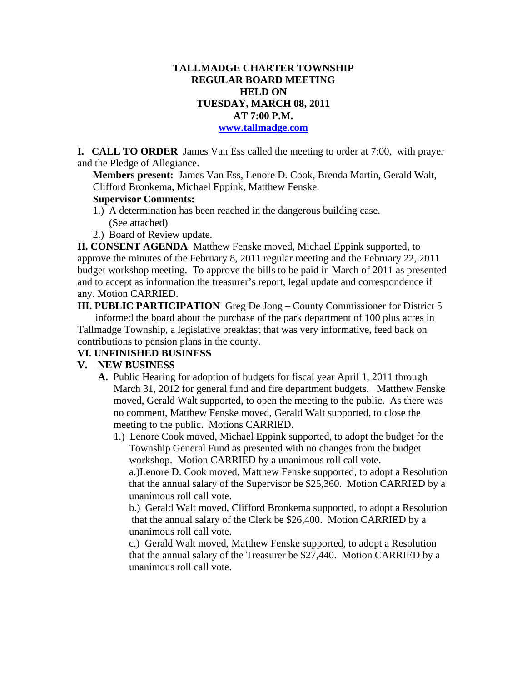# **TALLMADGE CHARTER TOWNSHIP REGULAR BOARD MEETING HELD ON TUESDAY, MARCH 08, 2011 AT 7:00 P.M.**

**www.tallmadge.com**

**I. CALL TO ORDER** James Van Ess called the meeting to order at 7:00, with prayer and the Pledge of Allegiance.

**Members present:** James Van Ess, Lenore D. Cook, Brenda Martin, Gerald Walt, Clifford Bronkema, Michael Eppink, Matthew Fenske.

#### **Supervisor Comments:**

- 1.) A determination has been reached in the dangerous building case. (See attached)
- 2.) Board of Review update.

**II. CONSENT AGENDA** Matthew Fenske moved, Michael Eppink supported, to approve the minutes of the February 8, 2011 regular meeting and the February 22, 2011 budget workshop meeting. To approve the bills to be paid in March of 2011 as presented and to accept as information the treasurer's report, legal update and correspondence if any. Motion CARRIED.

**III. PUBLIC PARTICIPATION** Greg De Jong – County Commissioner for District 5 informed the board about the purchase of the park department of 100 plus acres in Tallmadge Township, a legislative breakfast that was very informative, feed back on contributions to pension plans in the county.

#### **VI. UNFINISHED BUSINESS**

#### **V. NEW BUSINESS**

- **A.** Public Hearing for adoption of budgets for fiscal year April 1, 2011 through March 31, 2012 for general fund and fire department budgets. Matthew Fenske moved, Gerald Walt supported, to open the meeting to the public. As there was no comment, Matthew Fenske moved, Gerald Walt supported, to close the meeting to the public. Motions CARRIED.
	- 1.) Lenore Cook moved, Michael Eppink supported, to adopt the budget for the Township General Fund as presented with no changes from the budget workshop. Motion CARRIED by a unanimous roll call vote.

 a.)Lenore D. Cook moved, Matthew Fenske supported, to adopt a Resolution that the annual salary of the Supervisor be \$25,360. Motion CARRIED by a unanimous roll call vote.

b.) Gerald Walt moved, Clifford Bronkema supported, to adopt a Resolution that the annual salary of the Clerk be \$26,400. Motion CARRIED by a unanimous roll call vote.

c.) Gerald Walt moved, Matthew Fenske supported, to adopt a Resolution that the annual salary of the Treasurer be \$27,440. Motion CARRIED by a unanimous roll call vote.